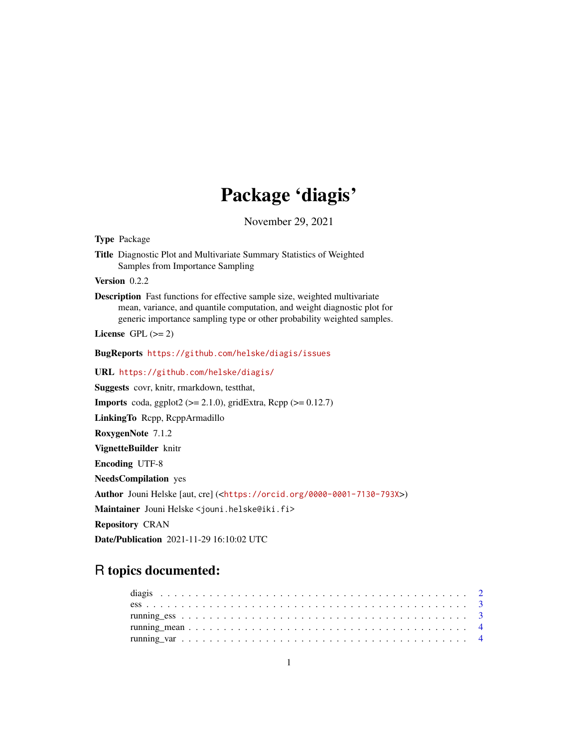## Package 'diagis'

November 29, 2021

Type Package Title Diagnostic Plot and Multivariate Summary Statistics of Weighted Samples from Importance Sampling Version 0.2.2 Description Fast functions for effective sample size, weighted multivariate mean, variance, and quantile computation, and weight diagnostic plot for generic importance sampling type or other probability weighted samples. License GPL  $(>= 2)$ BugReports <https://github.com/helske/diagis/issues> URL <https://github.com/helske/diagis/> Suggests covr, knitr, rmarkdown, testthat, **Imports** coda, ggplot2 ( $>= 2.1.0$ ), gridExtra, Rcpp ( $>= 0.12.7$ ) LinkingTo Rcpp, RcppArmadillo RoxygenNote 7.1.2 VignetteBuilder knitr Encoding UTF-8 NeedsCompilation yes Author Jouni Helske [aut, cre] (<<https://orcid.org/0000-0001-7130-793X>>) Maintainer Jouni Helske <jouni.helske@iki.fi> Repository CRAN Date/Publication 2021-11-29 16:10:02 UTC

### R topics documented: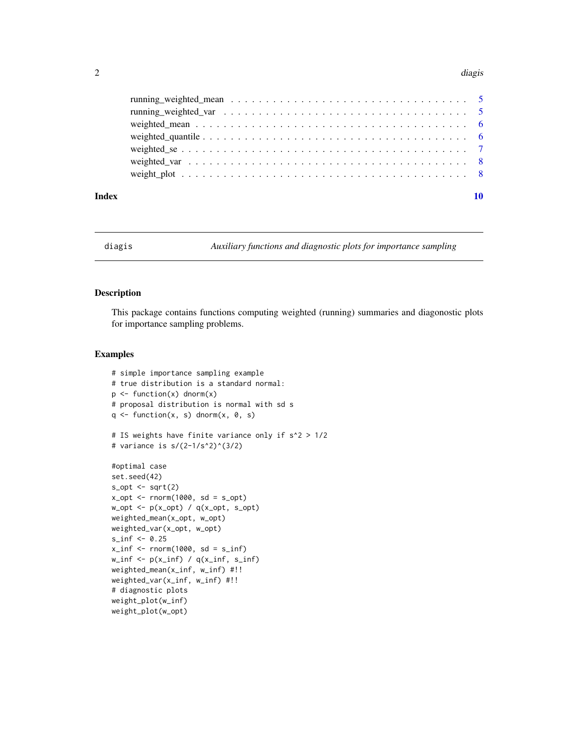#### <span id="page-1-0"></span>2 diagnostic control of the control of the control of the control of the control of the control of the control of the control of the control of the control of the control of the control of the control of the control of the

#### $\blacksquare$

diagis *Auxiliary functions and diagnostic plots for importance sampling*

#### Description

This package contains functions computing weighted (running) summaries and diagonostic plots for importance sampling problems.

#### Examples

```
# simple importance sampling example
# true distribution is a standard normal:
p \leftarrow function(x) dnorm(x)# proposal distribution is normal with sd s
q \leftarrow function(x, s) dnorm(x, 0, s)# IS weights have finite variance only if s^2 > 1/2
# variance is s/(2-1/s^2)^(3/2)#optimal case
set.seed(42)
s_opt <- sqrt(2)x_opt <- rnorm(1000, sd = s_opt)
w\_opt \leftarrow p(x\_opt) / q(x\_opt, s\_opt)weighted_mean(x_opt, w_opt)
weighted_var(x_opt, w_opt)
s_inf <- 0.25
x_info < -rnorm(1000, sd = s_info)w_info \leftarrow p(x_info) / q(x_info, s_info)weighted_mean(x_inf, w_inf) #!!
weighted_var(x_inf, w_inf) #!!
# diagnostic plots
weight_plot(w_inf)
weight_plot(w_opt)
```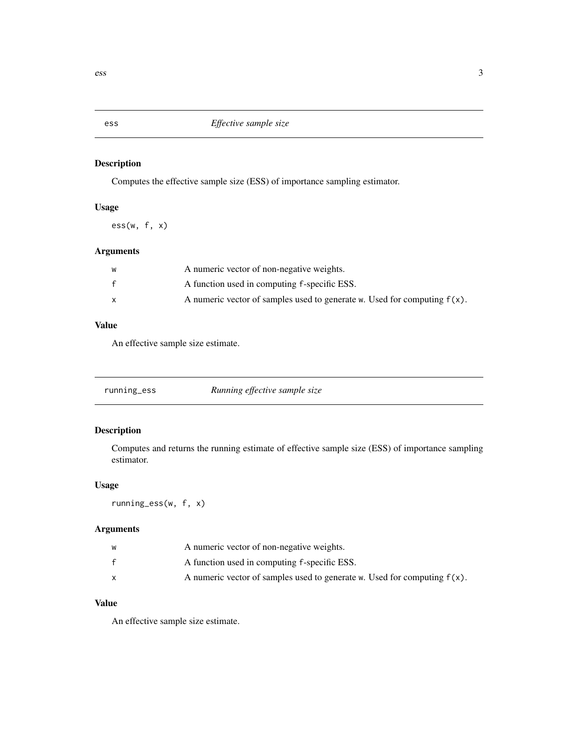<span id="page-2-0"></span>

#### Description

Computes the effective sample size (ESS) of importance sampling estimator.

#### Usage

 $ess(w, f, x)$ 

#### Arguments

| W            | A numeric vector of non-negative weights.                                   |
|--------------|-----------------------------------------------------------------------------|
| $\mathbf{f}$ | A function used in computing f-specific ESS.                                |
|              | A numeric vector of samples used to generate w. Used for computing $f(x)$ . |

#### Value

An effective sample size estimate.

| running_ess | Running effective sample size |
|-------------|-------------------------------|
|-------------|-------------------------------|

#### Description

Computes and returns the running estimate of effective sample size (ESS) of importance sampling estimator.

#### Usage

running\_ess(w, f, x)

#### Arguments

| w | A numeric vector of non-negative weights.                                   |
|---|-----------------------------------------------------------------------------|
| £ | A function used in computing f-specific ESS.                                |
|   | A numeric vector of samples used to generate w. Used for computing $f(x)$ . |

#### Value

An effective sample size estimate.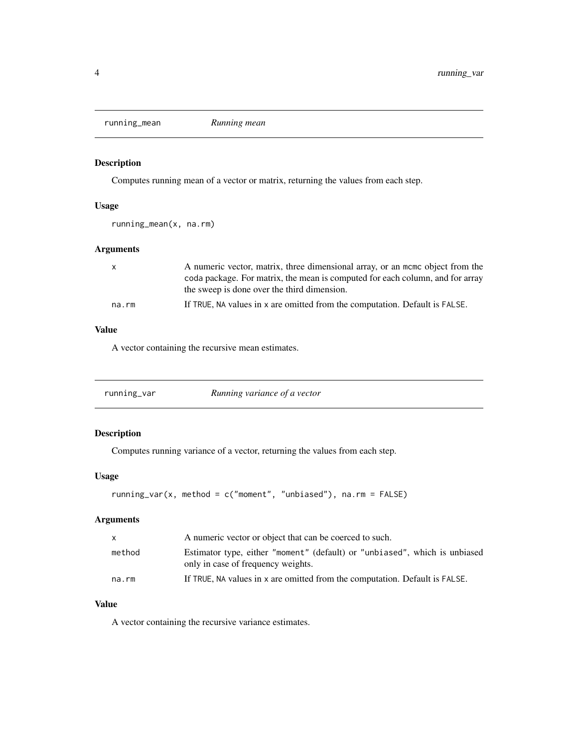<span id="page-3-0"></span>running\_mean *Running mean*

#### Description

Computes running mean of a vector or matrix, returning the values from each step.

#### Usage

running\_mean(x, na.rm)

#### Arguments

| X     | A numeric vector, matrix, three dimensional array, or an mome object from the |
|-------|-------------------------------------------------------------------------------|
|       | coda package. For matrix, the mean is computed for each column, and for array |
|       | the sweep is done over the third dimension.                                   |
| na.rm | If TRUE, NA values in x are omitted from the computation. Default is FALSE.   |

#### Value

A vector containing the recursive mean estimates.

| running_var | Running variance of a vector |  |
|-------------|------------------------------|--|
|-------------|------------------------------|--|

#### Description

Computes running variance of a vector, returning the values from each step.

#### Usage

```
running_var(x, method = c("moment", "unbiased"), na.rm = FALSE)
```
#### Arguments

| X      | A numeric vector or object that can be coerced to such.                                                          |
|--------|------------------------------------------------------------------------------------------------------------------|
| method | Estimator type, either "moment" (default) or "unbiased", which is unbiased<br>only in case of frequency weights. |
| na.rm  | If TRUE, NA values in x are omitted from the computation. Default is FALSE.                                      |

#### Value

A vector containing the recursive variance estimates.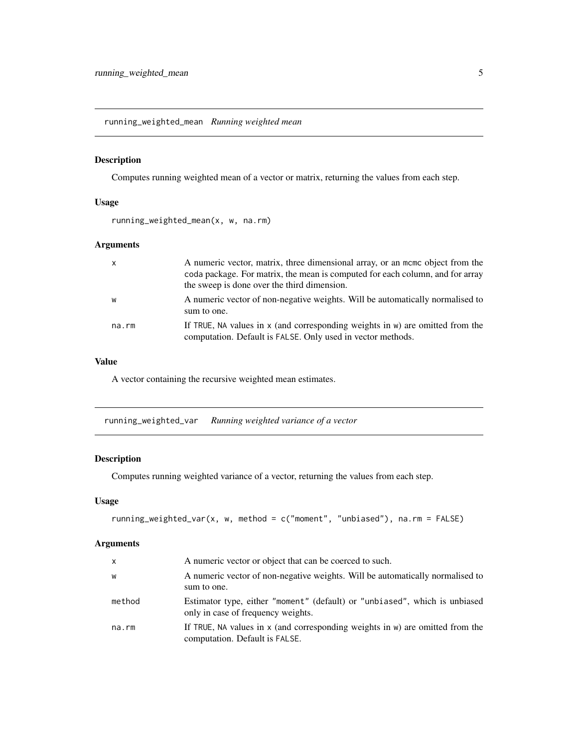<span id="page-4-0"></span>running\_weighted\_mean *Running weighted mean*

#### Description

Computes running weighted mean of a vector or matrix, returning the values from each step.

#### Usage

running\_weighted\_mean(x, w, na.rm)

#### Arguments

| $\mathsf{x}$ | A numeric vector, matrix, three dimensional array, or an mome object from the<br>coda package. For matrix, the mean is computed for each column, and for array<br>the sweep is done over the third dimension. |
|--------------|---------------------------------------------------------------------------------------------------------------------------------------------------------------------------------------------------------------|
| W            | A numeric vector of non-negative weights. Will be automatically normalised to<br>sum to one.                                                                                                                  |
| na.rm        | If TRUE, NA values in $x$ (and corresponding weights in $w$ ) are omitted from the<br>computation. Default is FALSE. Only used in vector methods.                                                             |

#### Value

A vector containing the recursive weighted mean estimates.

running\_weighted\_var *Running weighted variance of a vector*

#### Description

Computes running weighted variance of a vector, returning the values from each step.

#### Usage

```
running_weighted_var(x, w, method = c("moment", "unbiased"), na.rm = FALSE)
```
#### Arguments

| x      | A numeric vector or object that can be coerced to such.                                                              |
|--------|----------------------------------------------------------------------------------------------------------------------|
| W      | A numeric vector of non-negative weights. Will be automatically normalised to<br>sum to one.                         |
| method | Estimator type, either "moment" (default) or "unbiased", which is unbiased<br>only in case of frequency weights.     |
| na.rm  | If TRUE, NA values in $x$ (and corresponding weights in $w$ ) are omitted from the<br>computation. Default is FALSE. |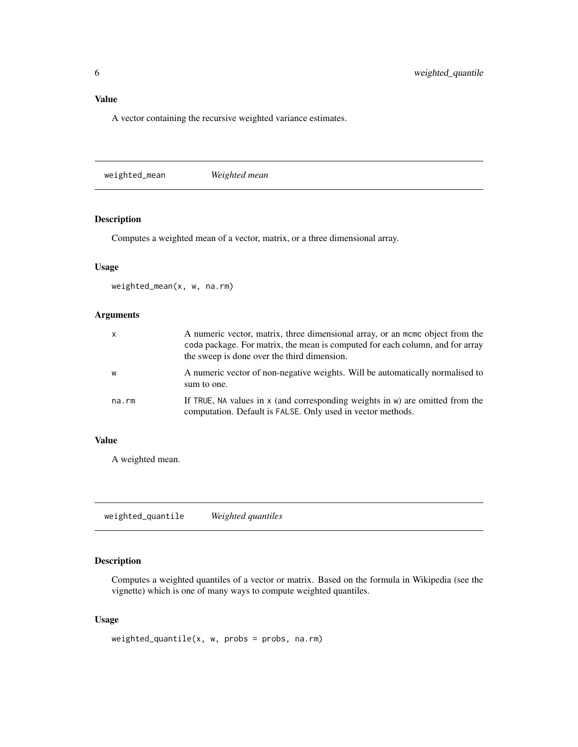#### <span id="page-5-0"></span>Value

A vector containing the recursive weighted variance estimates.

weighted\_mean *Weighted mean*

#### Description

Computes a weighted mean of a vector, matrix, or a three dimensional array.

#### Usage

weighted\_mean(x, w, na.rm)

#### Arguments

| $\mathsf{x}$ | A numeric vector, matrix, three dimensional array, or an momo object from the<br>coda package. For matrix, the mean is computed for each column, and for array<br>the sweep is done over the third dimension. |
|--------------|---------------------------------------------------------------------------------------------------------------------------------------------------------------------------------------------------------------|
| W            | A numeric vector of non-negative weights. Will be automatically normalised to<br>sum to one.                                                                                                                  |
| na.rm        | If TRUE, NA values in $x$ (and corresponding weights in $w$ ) are omitted from the<br>computation. Default is FALSE. Only used in vector methods.                                                             |

#### Value

A weighted mean.

weighted\_quantile *Weighted quantiles*

#### Description

Computes a weighted quantiles of a vector or matrix. Based on the formula in Wikipedia (see the vignette) which is one of many ways to compute weighted quantiles.

#### Usage

```
weighted_quantile(x, w, probs = probs, na.rm)
```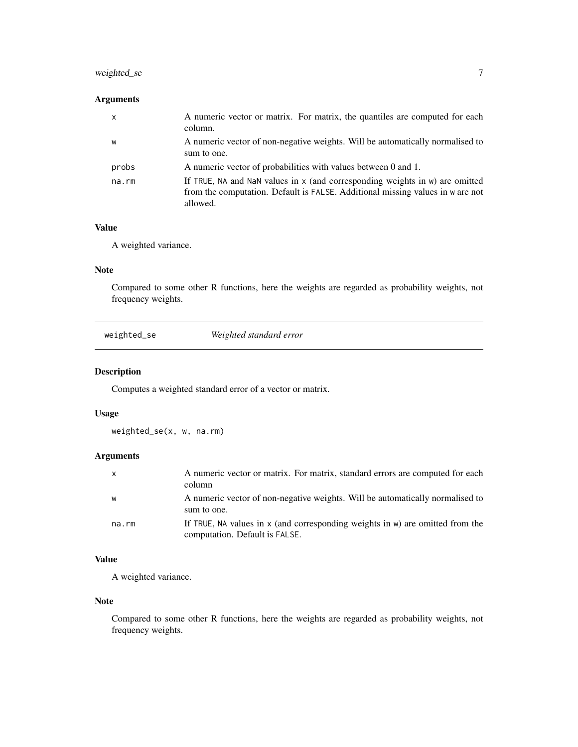#### <span id="page-6-0"></span>weighted\_se 7

#### Arguments

| $\mathsf{x}$ | A numeric vector or matrix. For matrix, the quantiles are computed for each<br>column.                                                                                     |
|--------------|----------------------------------------------------------------------------------------------------------------------------------------------------------------------------|
| W            | A numeric vector of non-negative weights. Will be automatically normalised to<br>sum to one.                                                                               |
| probs        | A numeric vector of probabilities with values between 0 and 1.                                                                                                             |
| na.rm        | If TRUE, NA and NaN values in x (and corresponding weights in w) are omitted<br>from the computation. Default is FALSE. Additional missing values in w are not<br>allowed. |

#### Value

A weighted variance.

#### Note

Compared to some other R functions, here the weights are regarded as probability weights, not frequency weights.

| weighted_se | Weighted standard error |  |
|-------------|-------------------------|--|
|-------------|-------------------------|--|

#### Description

Computes a weighted standard error of a vector or matrix.

#### Usage

weighted\_se(x, w, na.rm)

#### Arguments

| $\mathsf{x}$ | A numeric vector or matrix. For matrix, standard errors are computed for each<br>column                              |
|--------------|----------------------------------------------------------------------------------------------------------------------|
| W            | A numeric vector of non-negative weights. Will be automatically normalised to<br>sum to one.                         |
| na.rm        | If TRUE, NA values in $x$ (and corresponding weights in $w$ ) are omitted from the<br>computation. Default is FALSE. |

#### Value

A weighted variance.

#### Note

Compared to some other R functions, here the weights are regarded as probability weights, not frequency weights.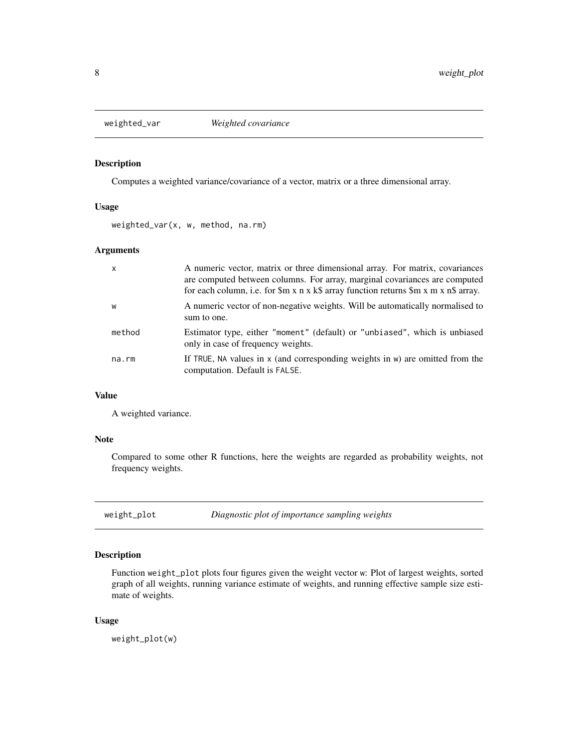<span id="page-7-0"></span>

#### Description

Computes a weighted variance/covariance of a vector, matrix or a three dimensional array.

#### Usage

weighted\_var(x, w, method, na.rm)

#### Arguments

| $\mathsf{x}$ | A numeric vector, matrix or three dimensional array. For matrix, covariances<br>are computed between columns. For array, marginal covariances are computed<br>for each column, i.e. for $m x \times k \$ array function returns $m x \times n \$ array. |
|--------------|---------------------------------------------------------------------------------------------------------------------------------------------------------------------------------------------------------------------------------------------------------|
| W            | A numeric vector of non-negative weights. Will be automatically normalised to<br>sum to one.                                                                                                                                                            |
| method       | Estimator type, either "moment" (default) or "unbiased", which is unbiased<br>only in case of frequency weights.                                                                                                                                        |
| na.rm        | If TRUE, NA values in $x$ (and corresponding weights in $w$ ) are omitted from the<br>computation. Default is FALSE.                                                                                                                                    |

#### Value

A weighted variance.

#### Note

Compared to some other R functions, here the weights are regarded as probability weights, not frequency weights.

weight\_plot *Diagnostic plot of importance sampling weights*

#### Description

Function weight\_plot plots four figures given the weight vector w: Plot of largest weights, sorted graph of all weights, running variance estimate of weights, and running effective sample size estimate of weights.

#### Usage

weight\_plot(w)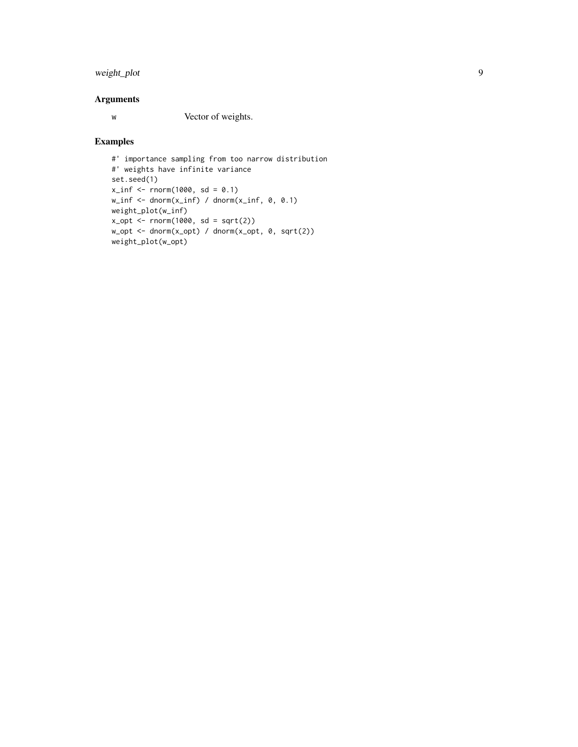#### weight\_plot 9

#### Arguments

w Vector of weights.

#### Examples

```
#' importance sampling from too narrow distribution
#' weights have infinite variance
set.seed(1)
x_info < -rnorm(1000, sd = 0.1)w_info \leftarrow dom(x_info) / donorm(x_info, 0, 0.1)weight_plot(w_inf)
x_opt <- rnorm(1000, sd = sqrt(2))
w\_opt \leftarrow dnorm(x\_opt) / dnorm(x\_opt, 0, sqrt(2))weight_plot(w_opt)
```